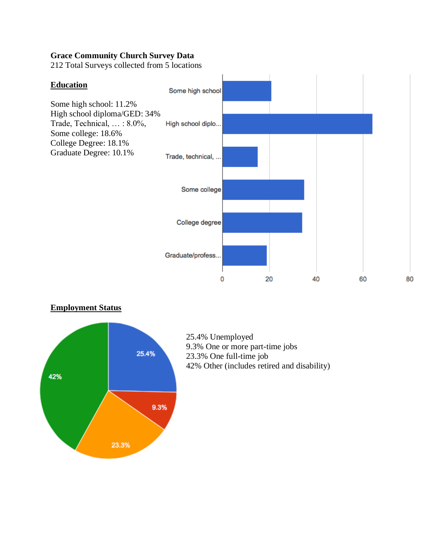### **Grace Community Church Survey Data**

212 Total Surveys collected from 5 locations





**Employment Status**

25.4% Unemployed 9.3% One or more part-time jobs 23.3% One full-time job 42% Other (includes retired and disability)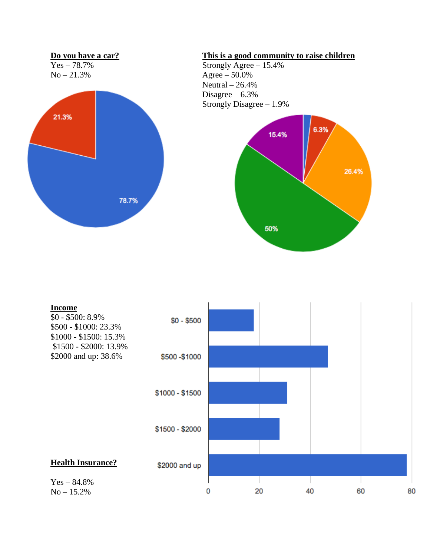

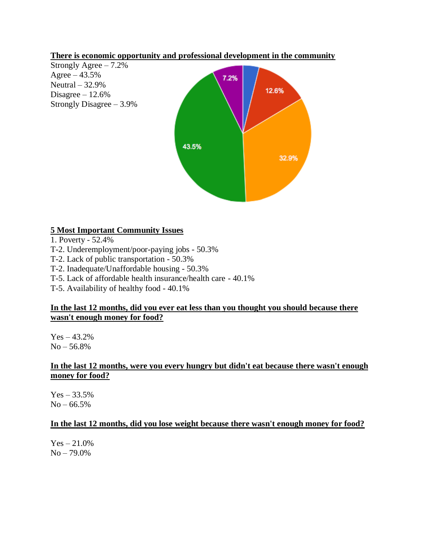### **There is economic opportunity and professional development in the community**



### **5 Most Important Community Issues**

- 1. Poverty 52.4%
- T-2. Underemployment/poor-paying jobs 50.3%
- T-2. Lack of public transportation 50.3%
- T-2. Inadequate/Unaffordable housing 50.3%
- T-5. Lack of affordable health insurance/health care 40.1%
- T-5. Availability of healthy food 40.1%

### **In the last 12 months, did you ever eat less than you thought you should because there wasn't enough money for food?**

 $Yes - 43.2\%$  $No - 56.8%$ 

### **In the last 12 months, were you every hungry but didn't eat because there wasn't enough money for food?**

 $Yes - 33.5\%$  $No - 66.5\%$ 

### **In the last 12 months, did you lose weight because there wasn't enough money for food?**

 $Yes - 21.0\%$ No – 79.0%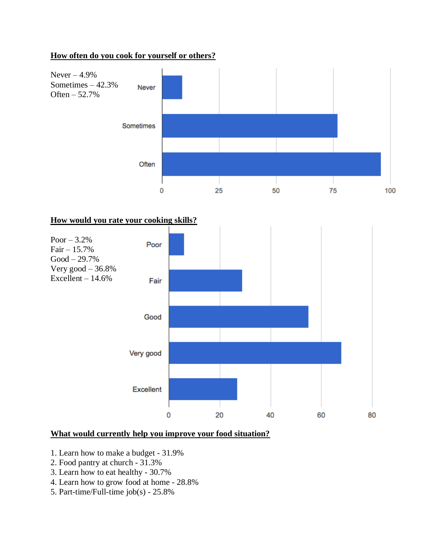

# **How often do you cook for yourself or others?**



# **How would you rate your cooking skills?**



# **What would currently help you improve your food situation?**

- 1. Learn how to make a budget 31.9%
- 2. Food pantry at church 31.3%
- 3. Learn how to eat healthy 30.7%
- 4. Learn how to grow food at home 28.8%
- 5. Part-time/Full-time job(s) 25.8%